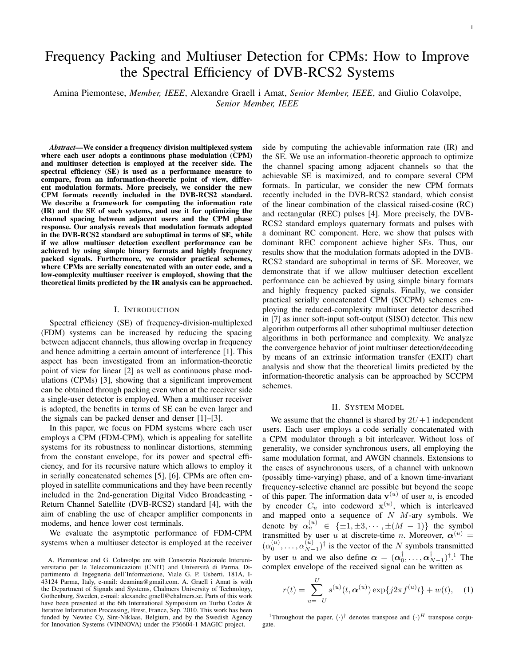# Frequency Packing and Multiuser Detection for CPMs: How to Improve the Spectral Efficiency of DVB-RCS2 Systems

Amina Piemontese, *Member, IEEE*, Alexandre Graell i Amat, *Senior Member, IEEE*, and Giulio Colavolpe, *Senior Member, IEEE*

*Abstract*—We consider a frequency division multiplexed system where each user adopts a continuous phase modulation (CPM) and multiuser detection is employed at the receiver side. The spectral efficiency (SE) is used as a performance measure to compare, from an information-theoretic point of view, different modulation formats. More precisely, we consider the new CPM formats recently included in the DVB-RCS2 standard. We describe a framework for computing the information rate (IR) and the SE of such systems, and use it for optimizing the channel spacing between adjacent users and the CPM phase response. Our analysis reveals that modulation formats adopted in the DVB-RCS2 standard are suboptimal in terms of SE, while if we allow multiuser detection excellent performance can be achieved by using simple binary formats and highly frequency packed signals. Furthermore, we consider practical schemes, where CPMs are serially concatenated with an outer code, and a low-complexity multiuser receiver is employed, showing that the theoretical limits predicted by the IR analysis can be approached.

#### I. INTRODUCTION

Spectral efficiency (SE) of frequency-division-multiplexed (FDM) systems can be increased by reducing the spacing between adjacent channels, thus allowing overlap in frequency and hence admitting a certain amount of interference [1]. This aspect has been investigated from an information-theoretic point of view for linear [2] as well as continuous phase modulations (CPMs) [3], showing that a significant improvement can be obtained through packing even when at the receiver side a single-user detector is employed. When a multiuser receiver is adopted, the benefits in terms of SE can be even larger and the signals can be packed denser and denser [1]–[3].

In this paper, we focus on FDM systems where each user employs a CPM (FDM-CPM), which is appealing for satellite systems for its robustness to nonlinear distortions, stemming from the constant envelope, for its power and spectral efficiency, and for its recursive nature which allows to employ it in serially concatenated schemes [5], [6]. CPMs are often employed in satellite communications and they have been recently included in the 2nd-generation Digital Video Broadcasting - Return Channel Satellite (DVB-RCS2) standard [4], with the aim of enabling the use of cheaper amplifier components in modems, and hence lower cost terminals.

We evaluate the asymptotic performance of FDM-CPM systems when a multiuser detector is employed at the receiver side by computing the achievable information rate (IR) and the SE. We use an information-theoretic approach to optimize the channel spacing among adjacent channels so that the achievable SE is maximized, and to compare several CPM formats. In particular, we consider the new CPM formats recently included in the DVB-RCS2 standard, which consist of the linear combination of the classical raised-cosine (RC) and rectangular (REC) pulses [4]. More precisely, the DVB-RCS2 standard employs quaternary formats and pulses with a dominant RC component. Here, we show that pulses with dominant REC component achieve higher SEs. Thus, our results show that the modulation formats adopted in the DVB-RCS2 standard are suboptimal in terms of SE. Moreover, we demonstrate that if we allow multiuser detection excellent performance can be achieved by using simple binary formats and highly frequency packed signals. Finally, we consider practical serially concatenated CPM (SCCPM) schemes employing the reduced-complexity multiuser detector described in [7] as inner soft-input soft-output (SISO) detector. This new algorithm outperforms all other suboptimal multiuser detection algorithms in both performance and complexity. We analyze the convergence behavior of joint multiuser detection/decoding by means of an extrinsic information transfer (EXIT) chart analysis and show that the theoretical limits predicted by the information-theoretic analysis can be approached by SCCPM schemes.

#### II. SYSTEM MODEL

We assume that the channel is shared by  $2U+1$  independent users. Each user employs a code serially concatenated with a CPM modulator through a bit interleaver. Without loss of generality, we consider synchronous users, all employing the same modulation format, and AWGN channels. Extensions to the cases of asynchronous users, of a channel with unknown (possibly time-varying) phase, and of a known time-invariant frequency-selective channel are possible but beyond the scope of this paper. The information data  $\mathbf{v}^{(u)}$  of user u, is encoded by encoder  $C_u$  into codeword  $\mathbf{x}^{(u)}$ , which is interleaved and mapped onto a sequence of  $N$   $M$ -ary symbols. We denote by  $\alpha_n^{(u)} \in {\pm 1, \pm 3, \cdots, \pm (M-1)}$  the symbol transmitted by user u at discrete-time n. Moreover,  $\alpha^{(u)}$  =  $(\alpha_0^{(u)},\ldots,\alpha_{N-}^{(u)})$  $\binom{(u)}{N-1}^{\dagger}$  is the vector of the N symbols transmitted by user u and we also define  $\alpha = (\alpha_0^{\dagger}, \dots, \alpha_{N-1}^{\dagger})^{\dagger}$ .<sup>1</sup> The complex envelope of the received signal can be written as

$$
r(t) = \sum_{u=-U}^{U} s^{(u)}(t, \alpha^{(u)}) \exp\{j2\pi f^{(u)}t\} + w(t), \quad (1)
$$

<sup>1</sup>Throughout the paper,  $(\cdot)^\dagger$  denotes transpose and  $(\cdot)^H$  transpose conjugate.

A. Piemontese and G. Colavolpe are with Consorzio Nazionale Interuniversitario per le Telecomunicazioni (CNIT) and Universita di Parma, Di- ` partimento di Ingegneria dell'Informazione, Viale G. P. Usberti, 181A, I-43124 Parma, Italy, e-mail: deamina@gmail.com. A. Graell i Amat is with the Department of Signals and Systems, Chalmers University of Technology, Gothenburg, Sweden, e-mail: alexandre.graell@chalmers.se. Parts of this work have been presented at the 6th International Symposium on Turbo Codes & Iterative Information Processing, Brest, France, Sep. 2010. This work has been funded by Newtec Cy, Sint-Niklaas, Belgium, and by the Swedish Agency for Innovation Systems (VINNOVA) under the P36604-1 MAGIC project.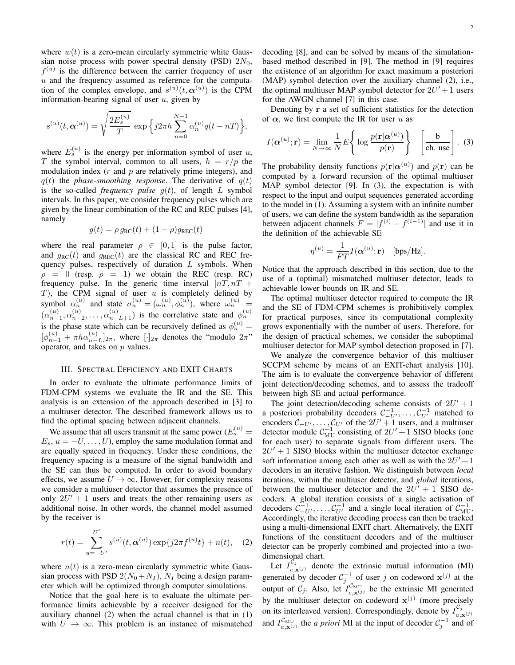where  $w(t)$  is a zero-mean circularly symmetric white Gaussian noise process with power spectral density (PSD)  $2N_0$ ,  $f^{(u)}$  is the difference between the carrier frequency of user  $u$  and the frequency assumed as reference for the computation of the complex envelope, and  $s^{(u)}(t, \alpha^{(u)})$  is the CPM information-bearing signal of user  $u$ , given by

$$
s^{(u)}(t, \alpha^{(u)}) = \sqrt{\frac{2E_s^{(u)}}{T}} \exp \left\{ j2\pi h \sum_{n=0}^{N-1} \alpha_n^{(u)} q(t - nT) \right\},\,
$$

where  $E_s^{(u)}$  is the energy per information symbol of user u, T the symbol interval, common to all users,  $h = r/p$  the modulation index  $(r$  and  $p$  are relatively prime integers), and  $q(t)$  the *phase-smoothing response*. The derivative of  $q(t)$ is the so-called *frequency pulse*  $q(t)$ , of length L symbol intervals. In this paper, we consider frequency pulses which are given by the linear combination of the RC and REC pulses [4], namely

$$
g(t) = \rho g_{\rm RC}(t) + (1 - \rho)g_{\rm REC}(t)
$$

where the real parameter  $\rho \in [0, 1]$  is the pulse factor, and  $g_{RC}(t)$  and  $g_{REC}(t)$  are the classical RC and REC frequency pulses, respectively of duration  $L$  symbols. When  $\rho = 0$  (resp.  $\rho = 1$ ) we obtain the REC (resp. RC) frequency pulse. In the generic time interval  $[nT, nT +$  $T$ ), the CPM signal of user  $u$  is completely defined by symbol  $\alpha_n^{(u)}$  and state  $\sigma_n^{(u)} = (\omega_n^{(u)}, \phi_n^{(u)})$ , where  $\omega_n^{(u)} =$  $(\alpha_{n-1}^{(u)}, \alpha_{n-2}^{(u)}, \ldots, \alpha_{n-L+1}^{(u)})$  is the correlative state and  $\phi_n^{(u)}$ is the phase state which can be recursively defined as  $\phi_n^{(u)} =$  $[\phi_{n-1}^{(u)} + \pi h \alpha_{n-L}^{(u)}]_{2\pi}$ , where  $[\cdot]_{2\pi}$  denotes the "modulo  $2\pi$ " operator, and takes on  $p$  values.

## III. SPECTRAL EFFICIENCY AND EXIT CHARTS

In order to evaluate the ultimate performance limits of FDM-CPM systems we evaluate the IR and the SE. This analysis is an extension of the approach described in [3] to a multiuser detector. The described framework allows us to find the optimal spacing between adjacent channels.

We assume that all users transmit at the same power  $(E_s^{(u)} =$  $E_s$ ,  $u = -U, \ldots, U$ , employ the same modulation format and are equally spaced in frequency. Under these conditions, the frequency spacing is a measure of the signal bandwidth and the SE can thus be computed. In order to avoid boundary effects, we assume  $U \rightarrow \infty$ . However, for complexity reasons we consider a multiuser detector that assumes the presence of only  $2U' + 1$  users and treats the other remaining users as additional noise. In other words, the channel model assumed by the receiver is

$$
r(t) = \sum_{u=-U'}^{U'} s^{(u)}(t, \alpha^{(u)}) \exp\{j2\pi f^{(u)}t\} + n(t), \quad (2)
$$

where  $n(t)$  is a zero-mean circularly symmetric white Gaussian process with PSD  $2(N_0+N_I)$ ,  $N_I$  being a design parameter which will be optimized through computer simulations.

Notice that the goal here is to evaluate the ultimate performance limits achievable by a receiver designed for the auxiliary channel (2) when the actual channel is that in (1) with  $U \rightarrow \infty$ . This problem is an instance of mismatched

decoding [8], and can be solved by means of the simulationbased method described in [9]. The method in [9] requires the existence of an algorithm for exact maximum a posteriori (MAP) symbol detection over the auxiliary channel (2), i.e., the optimal multiuser MAP symbol detector for  $2U' + 1$  users for the AWGN channel [7] in this case.

Denoting by r a set of sufficient statistics for the detection of  $\alpha$ , we first compute the IR for user u as

$$
I(\boldsymbol{\alpha}^{(u)}; \mathbf{r}) = \lim_{N \to \infty} \frac{1}{N} E \left\{ \log \frac{p(\mathbf{r} | \boldsymbol{\alpha}^{(u)})}{p(\mathbf{r})} \right\} \quad \left[ \frac{\mathbf{b}}{\text{ch. use}} \right]. \tag{3}
$$

The probability density functions  $p(\mathbf{r}|\boldsymbol{\alpha}^{(u)})$  and  $p(\mathbf{r})$  can be computed by a forward recursion of the optimal multiuser MAP symbol detector [9]. In (3), the expectation is with respect to the input and output sequences generated according to the model in (1). Assuming a system with an infinite number of users, we can define the system bandwidth as the separation between adjacent channels  $F = |f^{(i)} - f^{(i-1)}|$  and use it in the definition of the achievable SE

$$
\eta^{(u)} = \frac{1}{FT} I(\boldsymbol{\alpha}^{(u)}; \mathbf{r}) \quad [\text{bps/Hz}].
$$

Notice that the approach described in this section, due to the use of a (optimal) mismatched multiuser detector, leads to achievable lower bounds on IR and SE.

The optimal multiuser detector required to compute the IR and the SE of FDM-CPM schemes is prohibitively complex for practical purposes, since its computational complexity grows exponentially with the number of users. Therefore, for the design of practical schemes, we consider the suboptimal multiuser detector for MAP symbol detection proposed in [7].

We analyze the convergence behavior of this multiuser SCCPM scheme by means of an EXIT-chart analysis [10]. The aim is to evaluate the convergence behavior of different joint detection/decoding schemes, and to assess the tradeoff between high SE and actual performance.

The joint detection/decoding scheme consists of  $2U' + 1$ a posteriori probability decoders  $C^{-1}_{-U}$ , ...,  $C^{-1}_{U'}$  matched to encoders  $\mathcal{C}_{-U'}$ , ..., $\mathcal{C}_{U'}$  of the  $2U' + 1$  users, and a multiuser detector module  $C_{\text{MU}}^{-1}$  consisting of  $2U' + 1$  SISO blocks (one for each user) to separate signals from different users. The  $2U' + 1$  SISO blocks within the multiuser detector exchange soft information among each other as well as with the  $2U' + 1$ decoders in an iterative fashion. We distinguish between *local* iterations, within the multiuser detector, and *global* iterations, between the multiuser detector and the  $2U' + 1$  SISO decoders. A global iteration consists of a single activation of decoders  $\mathcal{C}_{-U'}^{-1}, \ldots, \mathcal{C}_{U'}^{-1}$  and a single local iteration of  $\mathcal{C}_{MU}^{-1}$ . Accordingly, the iterative decoding process can then be tracked using a multi-dimensional EXIT chart. Alternatively, the EXIT functions of the constituent decoders and of the multiuser detector can be properly combined and projected into a twodimensional chart.

Let  $I_{e, \mathbf{x}^{(j)}}^{C_j}$  denote the extrinsic mutual information (MI) generated by decoder  $C_j^{-1}$  of user j on codeword  $\mathbf{x}^{(j)}$  at the output of  $C_j$ . Also, let  $I_{e,\mathbf{x}^{(j)}}^{C_{\text{MU}}}$  be the extrinsic MI generated by the multiuser detector on codeword  $x^{(j)}$  (more precisely on its interleaved version). Correspondingly, denote by  $I_{a}^{\mathcal{C}_j}$  $a,\mathbf{x}^{(j)}$ and  $I_{a,\mathbf{x}^{(j)}}^{\mathcal{C}_{\text{MU}}}$  the *a priori* MI at the input of decoder  $C_j^{-1}$  and of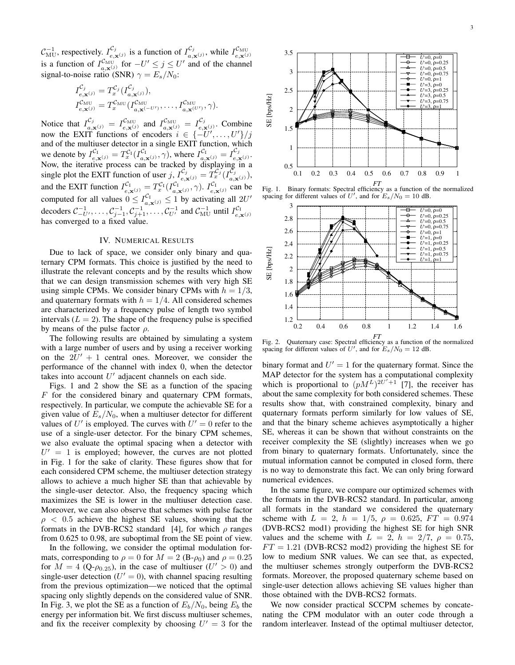$\mathcal{C}_{\text{MU}}^{-1}$ , respectively.  $I_{e, z}^{\mathcal{C}_j}$  $\frac{\mathcal{C}_j}{e, \mathbf{x}^{(j)}}$  is a function of  $I_{a,i}^{\mathcal{C}_j}$  $\frac{C_j}{a, \mathbf{x}^{(j)}},$  while  $I_{e, \mathbf{x}^{(j)}}^{C_{\text{MU}}}$ is a function of  $I_{a,\mathbf{x}^{(j)}}^{C_{\text{MU}}}$  for  $-U' \leq j \leq U'$  and of the channel signal-to-noise ratio (SNR)  $\gamma = E_s/N_0$ :

$$
I_{e,\mathbf{x}^{(j)}}^{C_j} = T_x^{C_j} (I_{a,\mathbf{x}^{(j)}}^{C_j}),
$$
  
\n
$$
I_{e,\mathbf{x}^{(j)}}^{C_{\text{MU}}} = T_x^{C_{\text{MU}}} (I_{a,\mathbf{x}^{(-U')}}, \ldots, I_{a,\mathbf{x}^{(U')}}, C_{\text{MU}}),
$$

Notice that  $I_{a,\mathbf{x}^{(j)}}^{\mathcal{C}_j} = I_{e,\mathbf{x}^{(j)}}^{\mathcal{C}_{MU}}$  and  $I_{a,\mathbf{x}^{(j)}}^{\mathcal{C}_{MU}} = I_{e,\mathbf{x}^{(j)}}^{\mathcal{C}_j}$  $\mathbf{c}_i^{\mathbf{c}_j}$ . Combine now the EXIT functions of encoders  $i \in \{-U', \ldots, U'\}/j$ and of the multiuser detector in a single EXIT function, which we denote by  $I_{e, \mathbf{x}^{(j)}}^{\mathcal{C}_1} = T_x^{\mathcal{C}_1} (I_{a, \mathbf{x}^{(j)}}^{\mathcal{C}_1}, \gamma)$ , where  $I_{a, \mathbf{x}^{(j)}}^{\mathcal{C}_1} = I_{e, a}^{\mathcal{C}_2}$  $\mathbf{e}_{,\mathbf{x}^{(j)}}$ . Now, the iterative process can be tracked by displaying in a single plot the EXIT function of user  $j$ ,  $I_{e, \mathbf{x}^{(j)}}^{c_j} = T_x^{c_j} (I_{a, \mathbf{x}^{(j)}}^{c_j})$ , and the EXIT function  $I_{e, \mathbf{x}^{(j)}}^{\mathcal{C}_1} = T_x^{\mathcal{C}_1} (I_{a, \mathbf{x}^{(j)}}^{\mathcal{C}_1}, \gamma)$ .  $I_{e, \mathbf{x}^{(j)}}^{\mathcal{C}_1}$  can be computed for all values  $0 \le I_{a,\mathbf{x}^{(j)}}^{C_1} \le 1$  by activating all  $2U'$ decoders  $C_{-U'}^{-1}, \ldots, C_{j-1}^{-1}, C_{j+1}^{-1}, \ldots, C_{U'}^{-1}$  and  $C_{MU}^{-1}$  until  $I_{e, \mathbf{x}^{(j)}}^{C_1}$ <br>has converged to a fixed value.

### IV. NUMERICAL RESULTS

Due to lack of space, we consider only binary and quaternary CPM formats. This choice is justified by the need to illustrate the relevant concepts and by the results which show that we can design transmission schemes with very high SE using simple CPMs. We consider binary CPMs with  $h = 1/3$ , and quaternary formats with  $h = 1/4$ . All considered schemes are characterized by a frequency pulse of length two symbol intervals  $(L = 2)$ . The shape of the frequency pulse is specified by means of the pulse factor  $\rho$ .

The following results are obtained by simulating a system with a large number of users and by using a receiver working on the  $2U' + 1$  central ones. Moreover, we consider the performance of the channel with index 0, when the detector takes into account  $U'$  adjacent channels on each side.

Figs. 1 and 2 show the SE as a function of the spacing  $F$  for the considered binary and quaternary CPM formats, respectively. In particular, we compute the achievable SE for a given value of  $E_s/N_0$ , when a multiuser detector for different values of  $U'$  is employed. The curves with  $U' = 0$  refer to the use of a single-user detector. For the binary CPM schemes, we also evaluate the optimal spacing when a detector with  $U' = 1$  is employed; however, the curves are not plotted in Fig. 1 for the sake of clarity. These figures show that for each considered CPM scheme, the multiuser detection strategy allows to achieve a much higher SE than that achievable by the single-user detector. Also, the frequency spacing which maximizes the SE is lower in the multiuser detection case. Moreover, we can also observe that schemes with pulse factor  $\rho$  < 0.5 achieve the highest SE values, showing that the formats in the DVB-RCS2 standard [4], for which  $\rho$  ranges from 0.625 to 0.98, are suboptimal from the SE point of view. Explaining in a  $0.5^{-1}$ <br>  $T_x^{C_j}(I_{\alpha,\mathbf{x}(j)}^{C_j})$ ,  $0$ <br>  $I_{\alpha,\mathbf{x}(j)}^{C_i}$  can be Fig. 1. Bin<br>
vating all 2U' spacing for c<br>
vating all 2U' spacing for  $3$ <br>  $\frac{1}{U}$  until  $I_{e,\mathbf{x}(j)}^{C_i}$  a 3<br>  $\frac{2.6}{U}$  and qua-<br>  $\frac{1$ 

In the following, we consider the optimal modulation formats, corresponding to  $\rho = 0$  for  $M = 2$  (B- $\rho_0$ ) and  $\rho = 0.25$ for  $M = 4$  (Q- $\rho_{0.25}$ ), in the case of multiuser ( $U' > 0$ ) and single-user detection ( $U' = 0$ ), with channel spacing resulting from the previous optimization—we noticed that the optimal spacing only slightly depends on the considered value of SNR. In Fig. 3, we plot the SE as a function of  $E_b/N_0$ , being  $E_b$  the energy per information bit. We first discuss multiuser schemes, and fix the receiver complexity by choosing  $U' = 3$  for the



*FT*Fig. 1. Binary formats: Spectral efficiency as a function of the normalized spacing for different values of  $U'$ , and for  $E_s/N_0 = 10$  dB.



Fig. 2. Quaternary case: Spectral efficiency as a function of the normalized spacing for different values of  $U'$ , and for  $E_s/N_0 = 12$  dB.

binary format and  $U' = 1$  for the quaternary format. Since the MAP detector for the system has a computational complexity which is proportional to  $(pM^L)^{2U'+1}$  [7], the receiver has about the same complexity for both considered schemes. These results show that, with constrained complexity, binary and quaternary formats perform similarly for low values of SE, and that the binary scheme achieves asymptotically a higher SE, whereas it can be shown that without constraints on the receiver complexity the SE (slightly) increases when we go from binary to quaternary formats. Unfortunately, since the mutual information cannot be computed in closed form, there is no way to demonstrate this fact. We can only bring forward numerical evidences.

In the same figure, we compare our optimized schemes with the formats in the DVB-RCS2 standard. In particular, among all formats in the standard we considered the quaternary scheme with  $L = 2$ ,  $h = 1/5$ ,  $\rho = 0.625$ ,  $FT = 0.974$ (DVB-RCS2 mod1) providing the highest SE for high SNR values and the scheme with  $L = 2$ ,  $h = 2/7$ ,  $\rho = 0.75$ ,  $FT = 1.21$  (DVB-RCS2 mod2) providing the highest SE for low to medium SNR values. We can see that, as expected, the multiuser schemes strongly outperform the DVB-RCS2 formats. Moreover, the proposed quaternary scheme based on single-user detection allows achieving SE values higher than those obtained with the DVB-RCS2 formats.

We now consider practical SCCPM schemes by concatenating the CPM modulator with an outer code through a random interleaver. Instead of the optimal multiuser detector,